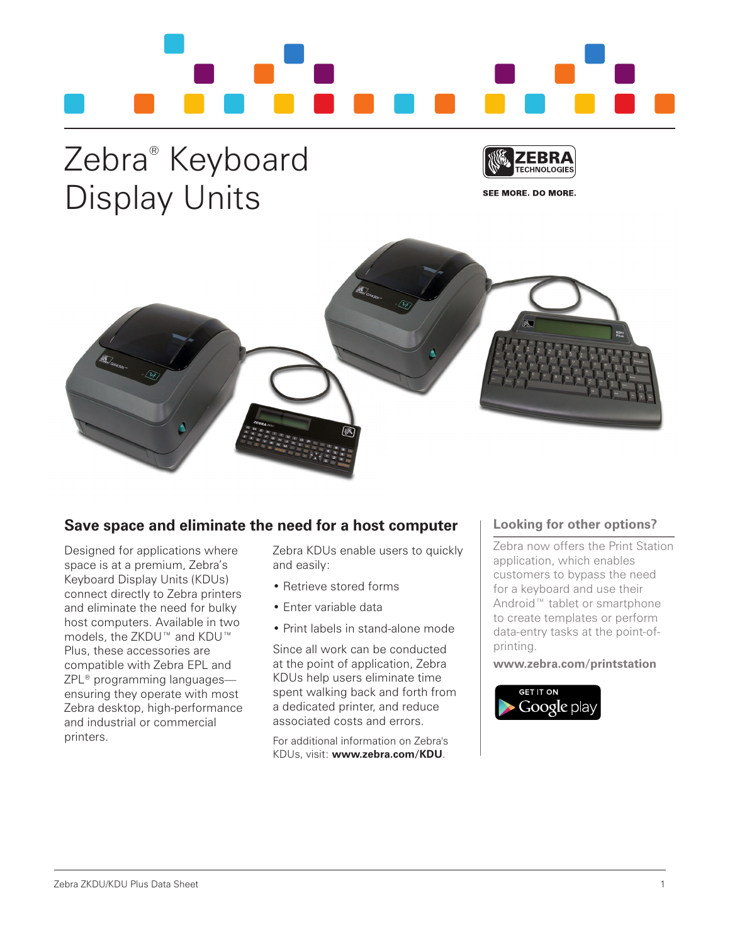

## Zebra® Keyboard Display Units



SEE MORE, DO MORE.



## **Save space and eliminate the need for a host computer**

Designed for applications where space is at a premium, Zebra's Keyboard Display Units (KDUs) connect directly to Zebra printers and eliminate the need for bulky host computers. Available in two models, the ZKDU™ and KDU™ Plus, these accessories are compatible with Zebra EPL and ZPL® programming languages ensuring they operate with most Zebra desktop, high-performance and industrial or commercial printers.

Zebra KDUs enable users to quickly and easily:

- Retrieve stored forms
- Enter variable data
- Print labels in stand-alone mode

Since all work can be conducted at the point of application, Zebra KDUs help users eliminate time spent walking back and forth from a dedicated printer, and reduce associated costs and errors.

For additional information on Zebra's KDUs, visit: **www.zebra.com/KDU**.

## **Looking for other options?**

Zebra now offers the Print Station application, which enables customers to bypass the need for a keyboard and use their Android™ tablet or smartphone to create templates or perform data-entry tasks at the point-ofprinting.

**www.zebra.com/printstation**